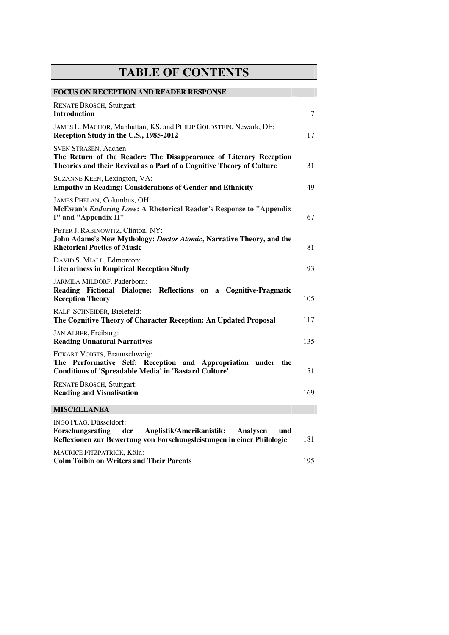## **TABLE OF CONTENTS**

| <b>FOCUS ON RECEPTION AND READER RESPONSE</b>                                                                                                                              |     |
|----------------------------------------------------------------------------------------------------------------------------------------------------------------------------|-----|
| <b>RENATE BROSCH, Stuttgart:</b><br><b>Introduction</b>                                                                                                                    | 7   |
| JAMES L. MACHOR, Manhattan, KS, and PHILIP GOLDSTEIN, Newark, DE:<br>Reception Study in the U.S., 1985-2012                                                                | 17  |
| <b>SVEN STRASEN, Aachen:</b><br>The Return of the Reader: The Disappearance of Literary Reception<br>Theories and their Revival as a Part of a Cognitive Theory of Culture | 31  |
| SUZANNE KEEN, Lexington, VA:<br><b>Empathy in Reading: Considerations of Gender and Ethnicity</b>                                                                          | 49  |
| JAMES PHELAN, Columbus, OH:<br>McEwan's Enduring Love: A Rhetorical Reader's Response to "Appendix<br>I" and "Appendix II"                                                 | 67  |
| PETER J. RABINOWITZ, Clinton, NY:<br>John Adams's New Mythology: Doctor Atomic, Narrative Theory, and the<br><b>Rhetorical Poetics of Music</b>                            | 81  |
| DAVID S. MIALL, Edmonton:<br><b>Literariness in Empirical Reception Study</b>                                                                                              | 93  |
| JARMILA MILDORF, Paderborn:<br>Reading Fictional Dialogue: Reflections on a Cognitive-Pragmatic<br><b>Reception Theory</b>                                                 | 105 |
| RALF SCHNEIDER, Bielefeld:<br>The Cognitive Theory of Character Reception: An Updated Proposal                                                                             | 117 |
| JAN ALBER, Freiburg:<br><b>Reading Unnatural Narratives</b>                                                                                                                | 135 |
| ECKART VOIGTS, Braunschweig:<br>The Performative Self: Reception and Appropriation under the<br><b>Conditions of 'Spreadable Media' in 'Bastard Culture'</b>               | 151 |
| <b>RENATE BROSCH, Stuttgart:</b><br><b>Reading and Visualisation</b>                                                                                                       | 169 |
| <b>MISCELLANEA</b>                                                                                                                                                         |     |
| INGO PLAG, Düsseldorf:<br>Forschungsrating<br>der<br>Anglistik/Amerikanistik:<br>Analysen<br>und<br>Reflexionen zur Bewertung von Forschungsleistungen in einer Philologie | 181 |
| MAURICE FITZPATRICK, Köln:<br><b>Colm Tóibín on Writers and Their Parents</b>                                                                                              | 195 |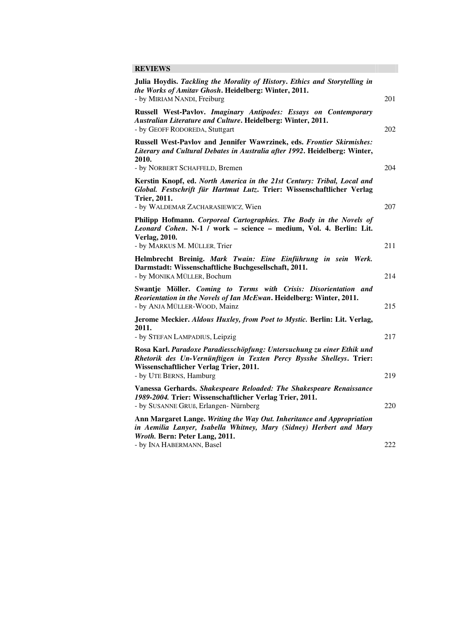## **REVIEWS**

| Julia Hoydis. Tackling the Morality of History. Ethics and Storytelling in<br>the Works of Amitav Ghosh. Heidelberg: Winter, 2011.                                                                                  |     |
|---------------------------------------------------------------------------------------------------------------------------------------------------------------------------------------------------------------------|-----|
| - by MIRIAM NANDI, Freiburg                                                                                                                                                                                         | 201 |
| Russell West-Pavlov. Imaginary Antipodes: Essays on Contemporary<br>Australian Literature and Culture. Heidelberg: Winter, 2011.                                                                                    |     |
| - by GEOFF RODOREDA, Stuttgart                                                                                                                                                                                      | 202 |
| Russell West-Pavlov and Jennifer Wawrzinek, eds. Frontier Skirmishes:<br>Literary and Cultural Debates in Australia after 1992. Heidelberg: Winter,<br>2010.                                                        |     |
| - by NORBERT SCHAFFELD, Bremen                                                                                                                                                                                      | 204 |
| Kerstin Knopf, ed. North America in the 21st Century: Tribal, Local and<br>Global. Festschrift für Hartmut Lutz. Trier: Wissenschaftlicher Verlag<br><b>Trier, 2011.</b>                                            |     |
| - by WALDEMAR ZACHARASIEWICZ, Wien                                                                                                                                                                                  | 207 |
| Philipp Hofmann. Corporeal Cartographies. The Body in the Novels of<br>Leonard Cohen. N-1 / work - science - medium, Vol. 4. Berlin: Lit.<br><b>Verlag, 2010.</b>                                                   |     |
| - by MARKUS M. MÜLLER, Trier                                                                                                                                                                                        | 211 |
| Helmbrecht Breinig. Mark Twain: Eine Einführung in sein Werk.<br>Darmstadt: Wissenschaftliche Buchgesellschaft, 2011.                                                                                               |     |
| - by MONIKA MÜLLER, Bochum                                                                                                                                                                                          | 214 |
| Swantje Möller. Coming to Terms with Crisis: Disorientation and<br>Reorientation in the Novels of Ian McEwan. Heidelberg: Winter, 2011.<br>- by ANJA MÜLLER-WOOD, Mainz                                             | 215 |
| Jerome Meckier. Aldous Huxley, from Poet to Mystic. Berlin: Lit. Verlag,<br>2011.                                                                                                                                   |     |
| - by STEFAN LAMPADIUS, Leipzig                                                                                                                                                                                      | 217 |
| Rosa Karl. Paradoxe Paradiesschöpfung: Untersuchung zu einer Ethik und<br>Rhetorik des Un-Vernünftigen in Texten Percy Bysshe Shelleys. Trier:<br>Wissenschaftlicher Verlag Trier, 2011.<br>- by UTE BERNS, Hamburg | 219 |
|                                                                                                                                                                                                                     |     |
| Vanessa Gerhards. Shakespeare Reloaded: The Shakespeare Renaissance<br>1989-2004. Trier: Wissenschaftlicher Verlag Trier, 2011.<br>- by SUSANNE GRUß, Erlangen- Nürnberg                                            | 220 |
| Ann Margaret Lange. Writing the Way Out. Inheritance and Appropriation<br>in Aemilia Lanyer, Isabella Whitney, Mary (Sidney) Herbert and Mary<br>Wroth. Bern: Peter Lang, 2011.                                     |     |
| - by INA HABERMANN, Basel                                                                                                                                                                                           | 222 |